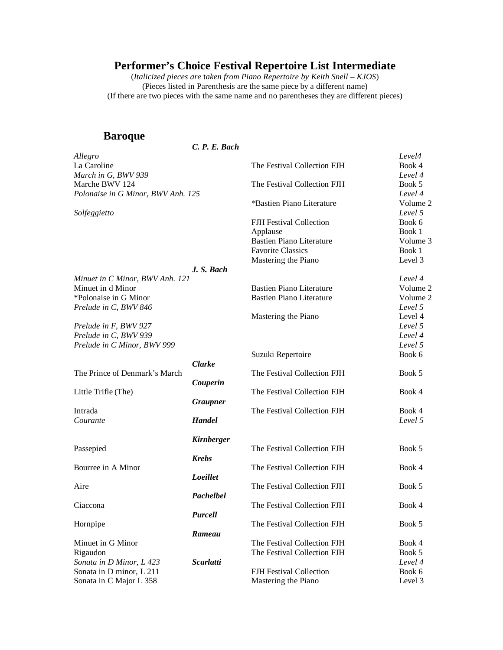(*Italicized pieces are* t*aken from Piano Repertoire by Keith Snell – KJOS*) (Pieces listed in Parenthesis are the same piece by a different name) (If there are two pieces with the same name and no parentheses they are different pieces)

#### **Baroque**

*C. P. E. Bach*

| Allegro                            |                 |                                 | Level4   |
|------------------------------------|-----------------|---------------------------------|----------|
| La Caroline                        |                 | The Festival Collection FJH     | Book 4   |
| March in G, BWV 939                |                 |                                 | Level 4  |
| Marche BWV 124                     |                 | The Festival Collection FJH     | Book 5   |
| Polonaise in G Minor, BWV Anh. 125 |                 |                                 | Level 4  |
|                                    |                 | *Bastien Piano Literature       | Volume 2 |
| Solfeggietto                       |                 |                                 | Level 5  |
|                                    |                 | <b>FJH</b> Festival Collection  | Book 6   |
|                                    |                 | Applause                        | Book 1   |
|                                    |                 | <b>Bastien Piano Literature</b> | Volume 3 |
|                                    |                 | <b>Favorite Classics</b>        | Book 1   |
|                                    |                 | Mastering the Piano             | Level 3  |
|                                    | J. S. Bach      |                                 |          |
| Minuet in C Minor, BWV Anh. 121    |                 |                                 | Level 4  |
| Minuet in d Minor                  |                 | <b>Bastien Piano Literature</b> | Volume 2 |
| *Polonaise in G Minor              |                 | <b>Bastien Piano Literature</b> | Volume 2 |
| Prelude in C, BWV 846              |                 |                                 | Level 5  |
|                                    |                 | Mastering the Piano             | Level 4  |
| Prelude in F, BWV 927              |                 |                                 | Level 5  |
| Prelude in C, BWV 939              |                 |                                 | Level 4  |
| Prelude in C Minor, BWV 999        |                 |                                 | Level 5  |
|                                    |                 | Suzuki Repertoire               | Book 6   |
|                                    | <b>Clarke</b>   |                                 |          |
| The Prince of Denmark's March      |                 | The Festival Collection FJH     | Book 5   |
|                                    | Couperin        |                                 |          |
| Little Trifle (The)                |                 | The Festival Collection FJH     | Book 4   |
|                                    | <b>Graupner</b> |                                 |          |
| Intrada                            |                 | The Festival Collection FJH     | Book 4   |
| Courante                           | <b>Handel</b>   |                                 | Level 5  |
|                                    |                 |                                 |          |
|                                    | Kirnberger      |                                 |          |
| Passepied                          |                 | The Festival Collection FJH     | Book 5   |
|                                    | <b>Krebs</b>    |                                 |          |
| Bourree in A Minor                 |                 | The Festival Collection FJH     | Book 4   |
|                                    | Loeillet        |                                 |          |
| Aire                               |                 | The Festival Collection FJH     | Book 5   |
|                                    | Pachelbel       |                                 |          |
| Ciaccona                           |                 | The Festival Collection FJH     | Book 4   |
|                                    | <b>Purcell</b>  |                                 |          |
| Hornpipe                           |                 | The Festival Collection FJH     | Book 5   |
|                                    | Rameau          |                                 |          |
| Minuet in G Minor                  |                 | The Festival Collection FJH     | Book 4   |
| Rigaudon                           |                 | The Festival Collection FJH     | Book 5   |
| Sonata in D Minor, L 423           | Scarlatti       |                                 | Level 4  |
| Sonata in D minor, L 211           |                 | <b>FJH</b> Festival Collection  | Book 6   |
| Sonata in C Major L 358            |                 | Mastering the Piano             | Level 3  |
|                                    |                 |                                 |          |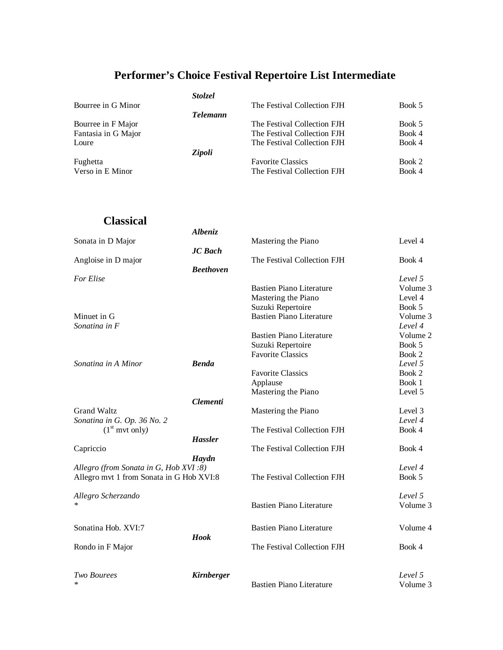| Bourree in G Minor  | <i>Stolzel</i><br><b>Telemann</b> | The Festival Collection FJH | Book 5 |
|---------------------|-----------------------------------|-----------------------------|--------|
| Bourree in F Major  |                                   | The Festival Collection FJH | Book 5 |
| Fantasia in G Major |                                   | The Festival Collection FJH | Book 4 |
| Loure               |                                   | The Festival Collection FJH | Book 4 |
| Fughetta            | Zipoli                            | <b>Favorite Classics</b>    | Book 2 |
| Verso in E Minor    |                                   | The Festival Collection FJH | Book 4 |

### **Classical**

|                                          | <b>Albeniz</b>    |                                 |          |
|------------------------------------------|-------------------|---------------------------------|----------|
| Sonata in D Major                        |                   | Mastering the Piano             | Level 4  |
|                                          | <b>JC</b> Bach    |                                 |          |
| Angloise in D major                      |                   | The Festival Collection FJH     | Book 4   |
|                                          | <b>Beethoven</b>  |                                 |          |
| For Elise                                |                   |                                 | Level 5  |
|                                          |                   | <b>Bastien Piano Literature</b> | Volume 3 |
|                                          |                   | Mastering the Piano             | Level 4  |
|                                          |                   | Suzuki Repertoire               | Book 5   |
| Minuet in G                              |                   | <b>Bastien Piano Literature</b> | Volume 3 |
| Sonatina in F                            |                   |                                 | Level 4  |
|                                          |                   | <b>Bastien Piano Literature</b> | Volume 2 |
|                                          |                   | Suzuki Repertoire               | Book 5   |
|                                          |                   | <b>Favorite Classics</b>        | Book 2   |
| Sonatina in A Minor                      | <b>Benda</b>      |                                 | Level 5  |
|                                          |                   | <b>Favorite Classics</b>        | Book 2   |
|                                          |                   | Applause                        | Book 1   |
|                                          |                   | Mastering the Piano             | Level 5  |
|                                          | <b>Clementi</b>   |                                 |          |
| <b>Grand Waltz</b>                       |                   | Mastering the Piano             | Level 3  |
| Sonatina in G. Op. 36 No. 2              |                   |                                 | Level 4  |
| (1 <sup>st</sup> mvt only)               |                   | The Festival Collection FJH     | Book 4   |
|                                          | <b>Hassler</b>    |                                 |          |
| Capriccio                                |                   | The Festival Collection FJH     | Book 4   |
|                                          | Haydn             |                                 |          |
| Allegro (from Sonata in G, Hob XVI:8)    |                   |                                 | Level 4  |
| Allegro mvt 1 from Sonata in G Hob XVI:8 |                   | The Festival Collection FJH     | Book 5   |
| Allegro Scherzando                       |                   |                                 | Level 5  |
| $\ast$                                   |                   | <b>Bastien Piano Literature</b> | Volume 3 |
| Sonatina Hob. XVI:7                      |                   | <b>Bastien Piano Literature</b> | Volume 4 |
|                                          | <b>Hook</b>       |                                 |          |
| Rondo in F Major                         |                   | The Festival Collection FJH     | Book 4   |
| <b>Two Bourees</b>                       | <b>Kirnberger</b> |                                 | Level 5  |
| $\ast$                                   |                   | <b>Bastien Piano Literature</b> | Volume 3 |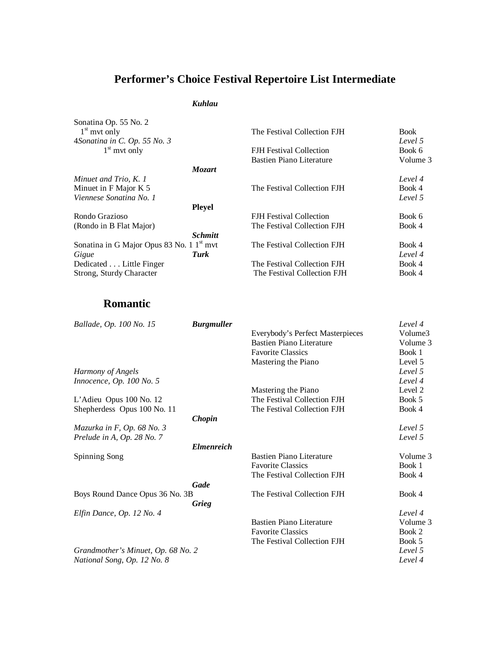#### *Kuhlau*

| Sonatina Op. 55 No. 2<br>$1st$ mvt only<br>4Sonatina in C. Op. 55 No. 3 | The Festival Collection FJH    | <b>Book</b><br>Level 5 |
|-------------------------------------------------------------------------|--------------------------------|------------------------|
| $1st$ mvt only                                                          | FJH Festival Collection        | Book 6                 |
|                                                                         | Bastien Piano Literature       | Volume 3               |
| <b>Mozart</b>                                                           |                                |                        |
| Minuet and Trio, K. 1                                                   |                                | Level 4                |
| Minuet in F Major K 5                                                   | The Festival Collection FJH    | Book 4                 |
| Viennese Sonatina No. 1                                                 |                                | Level 5                |
| <b>Pleyel</b>                                                           |                                |                        |
| Rondo Grazioso                                                          | <b>FJH</b> Festival Collection | Book 6                 |
| (Rondo in B Flat Major)                                                 | The Festival Collection FJH    | Book 4                 |
| <b>Schmitt</b>                                                          |                                |                        |
| Sonatina in G Major Opus 83 No. 1 1 <sup>st</sup> mvt                   | The Festival Collection FJH    | Book 4                 |
| Turk<br>Gigue                                                           |                                | Level 4                |
| Dedicated Little Finger                                                 | The Festival Collection FJH    | Book 4                 |
| Strong, Sturdy Character                                                | The Festival Collection FJH    | Book 4                 |

### **Romantic**

| Ballade, Op. 100 No. 15<br><b>Burgmuller</b> |                                  | Level 4  |
|----------------------------------------------|----------------------------------|----------|
|                                              | Everybody's Perfect Masterpieces | Volume3  |
|                                              | <b>Bastien Piano Literature</b>  | Volume 3 |
|                                              | <b>Favorite Classics</b>         | Book 1   |
|                                              | Mastering the Piano              | Level 5  |
| Harmony of Angels                            |                                  | Level 5  |
| Innocence, Op. 100 No. 5                     |                                  | Level 4  |
|                                              | Mastering the Piano              | Level 2  |
| L'Adieu Opus 100 No. 12                      | The Festival Collection FJH      | Book 5   |
| Shepherdess Opus 100 No. 11                  | The Festival Collection FJH      | Book 4   |
| Chopin                                       |                                  |          |
| Mazurka in F, Op. 68 No. 3                   |                                  | Level 5  |
| Prelude in A, Op. 28 No. 7                   |                                  | Level 5  |
| <b>Elmenreich</b>                            |                                  |          |
| Spinning Song                                | Bastien Piano Literature         | Volume 3 |
|                                              | <b>Favorite Classics</b>         | Book 1   |
|                                              | The Festival Collection FJH      | Book 4   |
| Gade                                         |                                  |          |
| Boys Round Dance Opus 36 No. 3B              | The Festival Collection FJH      | Book 4   |
| Grieg                                        |                                  |          |
|                                              |                                  | Level 4  |
| Elfin Dance, Op. 12 No. 4                    | <b>Bastien Piano Literature</b>  | Volume 3 |
|                                              |                                  |          |
|                                              | <b>Favorite Classics</b>         | Book 2   |
|                                              | The Festival Collection FJH      | Book 5   |
| Grandmother's Minuet, Op. 68 No. 2           |                                  | Level 5  |
| National Song, Op. 12 No. 8                  |                                  | Level 4  |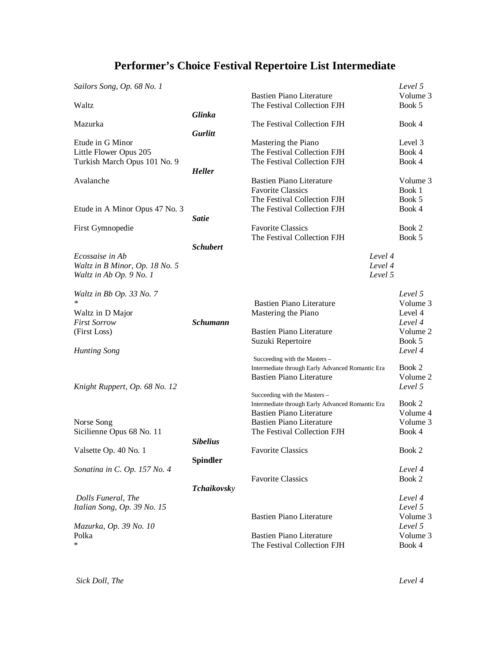| Volume 3<br><b>Bastien Piano Literature</b><br>The Festival Collection FJH<br>Book 5<br>Waltz<br>Glinka<br>Mazurka<br>The Festival Collection FJH<br>Book 4<br>Gurlitt<br>Etude in G Minor<br>Level 3<br>Mastering the Piano<br>The Festival Collection FJH<br>Book 4<br>Little Flower Opus 205<br>Turkish March Opus 101 No. 9<br>The Festival Collection FJH<br>Book 4<br><b>Heller</b><br>Avalanche<br><b>Bastien Piano Literature</b><br>Volume 3<br><b>Favorite Classics</b><br>Book 1<br>The Festival Collection FJH<br>Book 5<br>The Festival Collection FJH<br>Book 4<br>Etude in A Minor Opus 47 No. 3<br><b>Satie</b><br>First Gymnopedie<br><b>Favorite Classics</b><br>Book 2<br>The Festival Collection FJH<br>Book 5<br><b>Schubert</b><br>Level 4<br>Ecossaise in Ab<br>Level 4<br>Waltz in B Minor, Op. 18 No. 5<br>Level 5<br>Waltz in Ab Op. 9 No. 1<br>Level 5<br>Waltz in Bb Op. 33 No. 7<br>∗<br><b>Bastien Piano Literature</b><br>Volume 3<br>Mastering the Piano<br>Level 4<br>Waltz in D Major<br><b>Schumann</b><br><b>First Sorrow</b><br>Level 4<br><b>Bastien Piano Literature</b><br>Volume 2<br>(First Loss)<br>Suzuki Repertoire<br>Book 5<br>Level 4<br><b>Hunting Song</b><br>Succeeding with the Masters -<br>Book 2<br>Intermediate through Early Advanced Romantic Era<br><b>Bastien Piano Literature</b><br>Volume 2<br>Level 5<br>Knight Ruppert, Op. 68 No. 12<br>Succeeding with the Masters-<br>Book 2<br>Intermediate through Early Advanced Romantic Era<br><b>Bastien Piano Literature</b><br>Volume 4<br>Volume 3<br><b>Bastien Piano Literature</b><br>Norse Song<br>Sicilienne Opus 68 No. 11<br>The Festival Collection FJH<br>Book 4<br><b>Sibelius</b><br>Valsette Op. 40 No. 1<br><b>Favorite Classics</b><br>Book 2<br><b>Spindler</b><br>Sonatina in C. Op. 157 No. 4<br>Level 4<br><b>Favorite Classics</b><br>Book 2<br><b>Tchaikovsky</b><br>Dolls Funeral, The<br>Level 4<br>Italian Song, Op. 39 No. 15<br>Level 5<br><b>Bastien Piano Literature</b><br>Volume 3<br>Mazurka, Op. 39 No. 10<br>Level 5<br><b>Bastien Piano Literature</b><br>Polka<br>Volume 3<br>$\ast$ | Sailors Song, Op. 68 No. 1 |                             | Level 5 |
|-------------------------------------------------------------------------------------------------------------------------------------------------------------------------------------------------------------------------------------------------------------------------------------------------------------------------------------------------------------------------------------------------------------------------------------------------------------------------------------------------------------------------------------------------------------------------------------------------------------------------------------------------------------------------------------------------------------------------------------------------------------------------------------------------------------------------------------------------------------------------------------------------------------------------------------------------------------------------------------------------------------------------------------------------------------------------------------------------------------------------------------------------------------------------------------------------------------------------------------------------------------------------------------------------------------------------------------------------------------------------------------------------------------------------------------------------------------------------------------------------------------------------------------------------------------------------------------------------------------------------------------------------------------------------------------------------------------------------------------------------------------------------------------------------------------------------------------------------------------------------------------------------------------------------------------------------------------------------------------------------------------------------------------------------------------------------------------------------------------------------------------|----------------------------|-----------------------------|---------|
|                                                                                                                                                                                                                                                                                                                                                                                                                                                                                                                                                                                                                                                                                                                                                                                                                                                                                                                                                                                                                                                                                                                                                                                                                                                                                                                                                                                                                                                                                                                                                                                                                                                                                                                                                                                                                                                                                                                                                                                                                                                                                                                                     |                            |                             |         |
|                                                                                                                                                                                                                                                                                                                                                                                                                                                                                                                                                                                                                                                                                                                                                                                                                                                                                                                                                                                                                                                                                                                                                                                                                                                                                                                                                                                                                                                                                                                                                                                                                                                                                                                                                                                                                                                                                                                                                                                                                                                                                                                                     |                            |                             |         |
|                                                                                                                                                                                                                                                                                                                                                                                                                                                                                                                                                                                                                                                                                                                                                                                                                                                                                                                                                                                                                                                                                                                                                                                                                                                                                                                                                                                                                                                                                                                                                                                                                                                                                                                                                                                                                                                                                                                                                                                                                                                                                                                                     |                            |                             |         |
|                                                                                                                                                                                                                                                                                                                                                                                                                                                                                                                                                                                                                                                                                                                                                                                                                                                                                                                                                                                                                                                                                                                                                                                                                                                                                                                                                                                                                                                                                                                                                                                                                                                                                                                                                                                                                                                                                                                                                                                                                                                                                                                                     |                            |                             |         |
|                                                                                                                                                                                                                                                                                                                                                                                                                                                                                                                                                                                                                                                                                                                                                                                                                                                                                                                                                                                                                                                                                                                                                                                                                                                                                                                                                                                                                                                                                                                                                                                                                                                                                                                                                                                                                                                                                                                                                                                                                                                                                                                                     |                            |                             |         |
|                                                                                                                                                                                                                                                                                                                                                                                                                                                                                                                                                                                                                                                                                                                                                                                                                                                                                                                                                                                                                                                                                                                                                                                                                                                                                                                                                                                                                                                                                                                                                                                                                                                                                                                                                                                                                                                                                                                                                                                                                                                                                                                                     |                            |                             |         |
|                                                                                                                                                                                                                                                                                                                                                                                                                                                                                                                                                                                                                                                                                                                                                                                                                                                                                                                                                                                                                                                                                                                                                                                                                                                                                                                                                                                                                                                                                                                                                                                                                                                                                                                                                                                                                                                                                                                                                                                                                                                                                                                                     |                            |                             |         |
|                                                                                                                                                                                                                                                                                                                                                                                                                                                                                                                                                                                                                                                                                                                                                                                                                                                                                                                                                                                                                                                                                                                                                                                                                                                                                                                                                                                                                                                                                                                                                                                                                                                                                                                                                                                                                                                                                                                                                                                                                                                                                                                                     |                            |                             |         |
|                                                                                                                                                                                                                                                                                                                                                                                                                                                                                                                                                                                                                                                                                                                                                                                                                                                                                                                                                                                                                                                                                                                                                                                                                                                                                                                                                                                                                                                                                                                                                                                                                                                                                                                                                                                                                                                                                                                                                                                                                                                                                                                                     |                            |                             |         |
|                                                                                                                                                                                                                                                                                                                                                                                                                                                                                                                                                                                                                                                                                                                                                                                                                                                                                                                                                                                                                                                                                                                                                                                                                                                                                                                                                                                                                                                                                                                                                                                                                                                                                                                                                                                                                                                                                                                                                                                                                                                                                                                                     |                            |                             |         |
|                                                                                                                                                                                                                                                                                                                                                                                                                                                                                                                                                                                                                                                                                                                                                                                                                                                                                                                                                                                                                                                                                                                                                                                                                                                                                                                                                                                                                                                                                                                                                                                                                                                                                                                                                                                                                                                                                                                                                                                                                                                                                                                                     |                            |                             |         |
|                                                                                                                                                                                                                                                                                                                                                                                                                                                                                                                                                                                                                                                                                                                                                                                                                                                                                                                                                                                                                                                                                                                                                                                                                                                                                                                                                                                                                                                                                                                                                                                                                                                                                                                                                                                                                                                                                                                                                                                                                                                                                                                                     |                            |                             |         |
|                                                                                                                                                                                                                                                                                                                                                                                                                                                                                                                                                                                                                                                                                                                                                                                                                                                                                                                                                                                                                                                                                                                                                                                                                                                                                                                                                                                                                                                                                                                                                                                                                                                                                                                                                                                                                                                                                                                                                                                                                                                                                                                                     |                            |                             |         |
|                                                                                                                                                                                                                                                                                                                                                                                                                                                                                                                                                                                                                                                                                                                                                                                                                                                                                                                                                                                                                                                                                                                                                                                                                                                                                                                                                                                                                                                                                                                                                                                                                                                                                                                                                                                                                                                                                                                                                                                                                                                                                                                                     |                            |                             |         |
|                                                                                                                                                                                                                                                                                                                                                                                                                                                                                                                                                                                                                                                                                                                                                                                                                                                                                                                                                                                                                                                                                                                                                                                                                                                                                                                                                                                                                                                                                                                                                                                                                                                                                                                                                                                                                                                                                                                                                                                                                                                                                                                                     |                            |                             |         |
|                                                                                                                                                                                                                                                                                                                                                                                                                                                                                                                                                                                                                                                                                                                                                                                                                                                                                                                                                                                                                                                                                                                                                                                                                                                                                                                                                                                                                                                                                                                                                                                                                                                                                                                                                                                                                                                                                                                                                                                                                                                                                                                                     |                            |                             |         |
|                                                                                                                                                                                                                                                                                                                                                                                                                                                                                                                                                                                                                                                                                                                                                                                                                                                                                                                                                                                                                                                                                                                                                                                                                                                                                                                                                                                                                                                                                                                                                                                                                                                                                                                                                                                                                                                                                                                                                                                                                                                                                                                                     |                            |                             |         |
|                                                                                                                                                                                                                                                                                                                                                                                                                                                                                                                                                                                                                                                                                                                                                                                                                                                                                                                                                                                                                                                                                                                                                                                                                                                                                                                                                                                                                                                                                                                                                                                                                                                                                                                                                                                                                                                                                                                                                                                                                                                                                                                                     |                            |                             |         |
|                                                                                                                                                                                                                                                                                                                                                                                                                                                                                                                                                                                                                                                                                                                                                                                                                                                                                                                                                                                                                                                                                                                                                                                                                                                                                                                                                                                                                                                                                                                                                                                                                                                                                                                                                                                                                                                                                                                                                                                                                                                                                                                                     |                            |                             |         |
|                                                                                                                                                                                                                                                                                                                                                                                                                                                                                                                                                                                                                                                                                                                                                                                                                                                                                                                                                                                                                                                                                                                                                                                                                                                                                                                                                                                                                                                                                                                                                                                                                                                                                                                                                                                                                                                                                                                                                                                                                                                                                                                                     |                            |                             |         |
|                                                                                                                                                                                                                                                                                                                                                                                                                                                                                                                                                                                                                                                                                                                                                                                                                                                                                                                                                                                                                                                                                                                                                                                                                                                                                                                                                                                                                                                                                                                                                                                                                                                                                                                                                                                                                                                                                                                                                                                                                                                                                                                                     |                            |                             |         |
|                                                                                                                                                                                                                                                                                                                                                                                                                                                                                                                                                                                                                                                                                                                                                                                                                                                                                                                                                                                                                                                                                                                                                                                                                                                                                                                                                                                                                                                                                                                                                                                                                                                                                                                                                                                                                                                                                                                                                                                                                                                                                                                                     |                            |                             |         |
|                                                                                                                                                                                                                                                                                                                                                                                                                                                                                                                                                                                                                                                                                                                                                                                                                                                                                                                                                                                                                                                                                                                                                                                                                                                                                                                                                                                                                                                                                                                                                                                                                                                                                                                                                                                                                                                                                                                                                                                                                                                                                                                                     |                            |                             |         |
|                                                                                                                                                                                                                                                                                                                                                                                                                                                                                                                                                                                                                                                                                                                                                                                                                                                                                                                                                                                                                                                                                                                                                                                                                                                                                                                                                                                                                                                                                                                                                                                                                                                                                                                                                                                                                                                                                                                                                                                                                                                                                                                                     |                            |                             |         |
|                                                                                                                                                                                                                                                                                                                                                                                                                                                                                                                                                                                                                                                                                                                                                                                                                                                                                                                                                                                                                                                                                                                                                                                                                                                                                                                                                                                                                                                                                                                                                                                                                                                                                                                                                                                                                                                                                                                                                                                                                                                                                                                                     |                            |                             |         |
|                                                                                                                                                                                                                                                                                                                                                                                                                                                                                                                                                                                                                                                                                                                                                                                                                                                                                                                                                                                                                                                                                                                                                                                                                                                                                                                                                                                                                                                                                                                                                                                                                                                                                                                                                                                                                                                                                                                                                                                                                                                                                                                                     |                            |                             |         |
|                                                                                                                                                                                                                                                                                                                                                                                                                                                                                                                                                                                                                                                                                                                                                                                                                                                                                                                                                                                                                                                                                                                                                                                                                                                                                                                                                                                                                                                                                                                                                                                                                                                                                                                                                                                                                                                                                                                                                                                                                                                                                                                                     |                            |                             |         |
|                                                                                                                                                                                                                                                                                                                                                                                                                                                                                                                                                                                                                                                                                                                                                                                                                                                                                                                                                                                                                                                                                                                                                                                                                                                                                                                                                                                                                                                                                                                                                                                                                                                                                                                                                                                                                                                                                                                                                                                                                                                                                                                                     |                            |                             |         |
|                                                                                                                                                                                                                                                                                                                                                                                                                                                                                                                                                                                                                                                                                                                                                                                                                                                                                                                                                                                                                                                                                                                                                                                                                                                                                                                                                                                                                                                                                                                                                                                                                                                                                                                                                                                                                                                                                                                                                                                                                                                                                                                                     |                            |                             |         |
|                                                                                                                                                                                                                                                                                                                                                                                                                                                                                                                                                                                                                                                                                                                                                                                                                                                                                                                                                                                                                                                                                                                                                                                                                                                                                                                                                                                                                                                                                                                                                                                                                                                                                                                                                                                                                                                                                                                                                                                                                                                                                                                                     |                            |                             |         |
|                                                                                                                                                                                                                                                                                                                                                                                                                                                                                                                                                                                                                                                                                                                                                                                                                                                                                                                                                                                                                                                                                                                                                                                                                                                                                                                                                                                                                                                                                                                                                                                                                                                                                                                                                                                                                                                                                                                                                                                                                                                                                                                                     |                            |                             |         |
|                                                                                                                                                                                                                                                                                                                                                                                                                                                                                                                                                                                                                                                                                                                                                                                                                                                                                                                                                                                                                                                                                                                                                                                                                                                                                                                                                                                                                                                                                                                                                                                                                                                                                                                                                                                                                                                                                                                                                                                                                                                                                                                                     |                            |                             |         |
|                                                                                                                                                                                                                                                                                                                                                                                                                                                                                                                                                                                                                                                                                                                                                                                                                                                                                                                                                                                                                                                                                                                                                                                                                                                                                                                                                                                                                                                                                                                                                                                                                                                                                                                                                                                                                                                                                                                                                                                                                                                                                                                                     |                            |                             |         |
|                                                                                                                                                                                                                                                                                                                                                                                                                                                                                                                                                                                                                                                                                                                                                                                                                                                                                                                                                                                                                                                                                                                                                                                                                                                                                                                                                                                                                                                                                                                                                                                                                                                                                                                                                                                                                                                                                                                                                                                                                                                                                                                                     |                            |                             |         |
|                                                                                                                                                                                                                                                                                                                                                                                                                                                                                                                                                                                                                                                                                                                                                                                                                                                                                                                                                                                                                                                                                                                                                                                                                                                                                                                                                                                                                                                                                                                                                                                                                                                                                                                                                                                                                                                                                                                                                                                                                                                                                                                                     |                            |                             |         |
|                                                                                                                                                                                                                                                                                                                                                                                                                                                                                                                                                                                                                                                                                                                                                                                                                                                                                                                                                                                                                                                                                                                                                                                                                                                                                                                                                                                                                                                                                                                                                                                                                                                                                                                                                                                                                                                                                                                                                                                                                                                                                                                                     |                            |                             |         |
|                                                                                                                                                                                                                                                                                                                                                                                                                                                                                                                                                                                                                                                                                                                                                                                                                                                                                                                                                                                                                                                                                                                                                                                                                                                                                                                                                                                                                                                                                                                                                                                                                                                                                                                                                                                                                                                                                                                                                                                                                                                                                                                                     |                            |                             |         |
|                                                                                                                                                                                                                                                                                                                                                                                                                                                                                                                                                                                                                                                                                                                                                                                                                                                                                                                                                                                                                                                                                                                                                                                                                                                                                                                                                                                                                                                                                                                                                                                                                                                                                                                                                                                                                                                                                                                                                                                                                                                                                                                                     |                            |                             |         |
|                                                                                                                                                                                                                                                                                                                                                                                                                                                                                                                                                                                                                                                                                                                                                                                                                                                                                                                                                                                                                                                                                                                                                                                                                                                                                                                                                                                                                                                                                                                                                                                                                                                                                                                                                                                                                                                                                                                                                                                                                                                                                                                                     |                            |                             |         |
|                                                                                                                                                                                                                                                                                                                                                                                                                                                                                                                                                                                                                                                                                                                                                                                                                                                                                                                                                                                                                                                                                                                                                                                                                                                                                                                                                                                                                                                                                                                                                                                                                                                                                                                                                                                                                                                                                                                                                                                                                                                                                                                                     |                            |                             |         |
|                                                                                                                                                                                                                                                                                                                                                                                                                                                                                                                                                                                                                                                                                                                                                                                                                                                                                                                                                                                                                                                                                                                                                                                                                                                                                                                                                                                                                                                                                                                                                                                                                                                                                                                                                                                                                                                                                                                                                                                                                                                                                                                                     |                            |                             |         |
|                                                                                                                                                                                                                                                                                                                                                                                                                                                                                                                                                                                                                                                                                                                                                                                                                                                                                                                                                                                                                                                                                                                                                                                                                                                                                                                                                                                                                                                                                                                                                                                                                                                                                                                                                                                                                                                                                                                                                                                                                                                                                                                                     |                            |                             |         |
|                                                                                                                                                                                                                                                                                                                                                                                                                                                                                                                                                                                                                                                                                                                                                                                                                                                                                                                                                                                                                                                                                                                                                                                                                                                                                                                                                                                                                                                                                                                                                                                                                                                                                                                                                                                                                                                                                                                                                                                                                                                                                                                                     |                            |                             |         |
|                                                                                                                                                                                                                                                                                                                                                                                                                                                                                                                                                                                                                                                                                                                                                                                                                                                                                                                                                                                                                                                                                                                                                                                                                                                                                                                                                                                                                                                                                                                                                                                                                                                                                                                                                                                                                                                                                                                                                                                                                                                                                                                                     |                            |                             |         |
|                                                                                                                                                                                                                                                                                                                                                                                                                                                                                                                                                                                                                                                                                                                                                                                                                                                                                                                                                                                                                                                                                                                                                                                                                                                                                                                                                                                                                                                                                                                                                                                                                                                                                                                                                                                                                                                                                                                                                                                                                                                                                                                                     |                            |                             |         |
|                                                                                                                                                                                                                                                                                                                                                                                                                                                                                                                                                                                                                                                                                                                                                                                                                                                                                                                                                                                                                                                                                                                                                                                                                                                                                                                                                                                                                                                                                                                                                                                                                                                                                                                                                                                                                                                                                                                                                                                                                                                                                                                                     |                            |                             |         |
|                                                                                                                                                                                                                                                                                                                                                                                                                                                                                                                                                                                                                                                                                                                                                                                                                                                                                                                                                                                                                                                                                                                                                                                                                                                                                                                                                                                                                                                                                                                                                                                                                                                                                                                                                                                                                                                                                                                                                                                                                                                                                                                                     |                            | The Festival Collection FJH | Book 4  |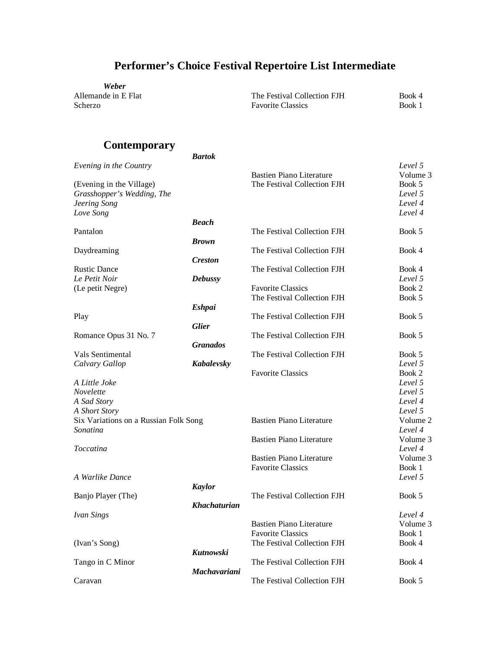**Weber**<br>Allemande in E Flat

Allemande in E Flat The Festival Collection FJH Book 4<br>Scherzo Book 1 Favorite Classics

### **Contemporary**

|                                       | <b>Bartok</b>       |                                 |          |
|---------------------------------------|---------------------|---------------------------------|----------|
| Evening in the Country                |                     |                                 | Level 5  |
|                                       |                     | <b>Bastien Piano Literature</b> | Volume 3 |
| (Evening in the Village)              |                     | The Festival Collection FJH     | Book 5   |
| Grasshopper's Wedding, The            |                     |                                 | Level 5  |
| Jeering Song                          |                     |                                 | Level 4  |
| Love Song                             |                     |                                 | Level 4  |
|                                       | <b>Beach</b>        |                                 |          |
|                                       |                     |                                 |          |
| Pantalon                              |                     | The Festival Collection FJH     | Book 5   |
|                                       | <b>Brown</b>        |                                 |          |
| Daydreaming                           |                     | The Festival Collection FJH     | Book 4   |
|                                       | <b>Creston</b>      |                                 |          |
| <b>Rustic Dance</b>                   |                     | The Festival Collection FJH     | Book 4   |
| Le Petit Noir                         | <b>Debussy</b>      |                                 | Level 5  |
| (Le petit Negre)                      |                     | <b>Favorite Classics</b>        | Book 2   |
|                                       |                     | The Festival Collection FJH     | Book 5   |
|                                       | <b>Eshpai</b>       |                                 |          |
| Play                                  |                     | The Festival Collection FJH     | Book 5   |
|                                       | <b>Glier</b>        |                                 |          |
| Romance Opus 31 No. 7                 |                     | The Festival Collection FJH     | Book 5   |
|                                       | <b>Granados</b>     |                                 |          |
| Vals Sentimental                      |                     | The Festival Collection FJH     | Book 5   |
| Calvary Gallop                        | Kabalevsky          |                                 | Level 5  |
|                                       |                     | <b>Favorite Classics</b>        | Book 2   |
| A Little Joke                         |                     |                                 | Level 5  |
|                                       |                     |                                 |          |
| Novelette                             |                     |                                 | Level 5  |
| A Sad Story                           |                     |                                 | Level 4  |
| A Short Story                         |                     |                                 | Level 5  |
| Six Variations on a Russian Folk Song |                     | <b>Bastien Piano Literature</b> | Volume 2 |
| Sonatina                              |                     |                                 | Level 4  |
|                                       |                     | <b>Bastien Piano Literature</b> | Volume 3 |
| <b>Toccatina</b>                      |                     |                                 | Level 4  |
|                                       |                     | <b>Bastien Piano Literature</b> | Volume 3 |
|                                       |                     | <b>Favorite Classics</b>        | Book 1   |
| A Warlike Dance                       |                     |                                 | Level 5  |
|                                       | <b>Kaylor</b>       |                                 |          |
| Banjo Player (The)                    |                     | The Festival Collection FJH     | Book 5   |
|                                       | <b>Khachaturian</b> |                                 |          |
| <b>Ivan Sings</b>                     |                     |                                 | Level 4  |
|                                       |                     | <b>Bastien Piano Literature</b> | Volume 3 |
|                                       |                     |                                 |          |
|                                       |                     | <b>Favorite Classics</b>        | Book 1   |
| (Ivan's Song)                         |                     | The Festival Collection FJH     | Book 4   |
|                                       | Kutnowski           |                                 |          |
| Tango in C Minor                      |                     | The Festival Collection FJH     | Book 4   |
|                                       | Machavariani        |                                 |          |
| Caravan                               |                     | The Festival Collection FJH     | Book 5   |